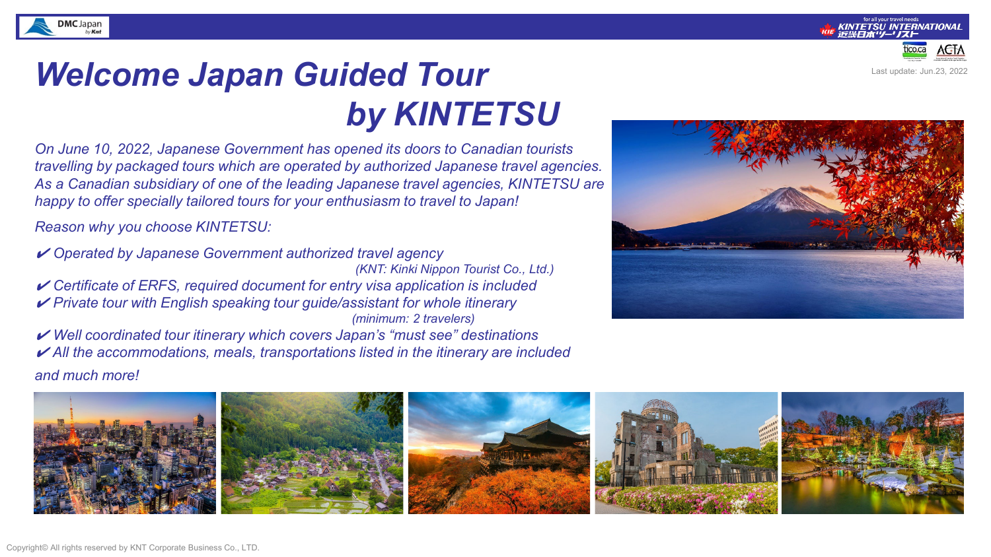



Last update: Jun.23, 2022

# *Welcome Japan Guided Tour by KINTETSU*

*On June 10, 2022, Japanese Government has opened its doors to Canadian tourists travelling by packaged tours which are operated by authorized Japanese travel agencies. As a Canadian subsidiary of one of the leading Japanese travel agencies, KINTETSU are happy to offer specially tailored tours for your enthusiasm to travel to Japan!* 

*Reason why you choose KINTETSU:* 

✔ *Operated by Japanese Government authorized travel agency (KNT: Kinki Nippon Tourist Co., Ltd.)* ✔ *Certificate of ERFS, required document for entry visa application is included* ✔ *Private tour with English speaking tour guide/assistant for whole itinerary (minimum: 2 travelers)* ✔ *Well coordinated tour itinerary which covers Japan's "must see" destinations*

✔ *All the accommodations, meals, transportations listed in the itinerary are included*

*and much more!*

**DMC** Japan



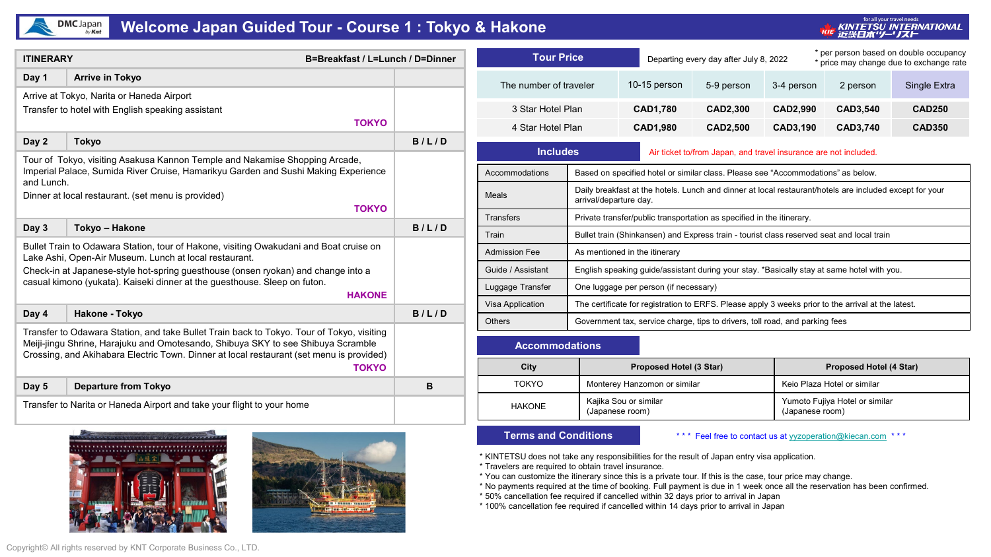## $DMC$  Japan

### **Welcome Japan Guided Tour - Course 1 : Tokyo & Hakone**

<sub>for all your travel needs</sub><br>KINTETSU INTERNATIONAL<br>近畿日本'ソー' Jスト TCIE

| <b>ITINERARY</b><br>B=Breakfast / L=Lunch / D=Dinner                                                                                                                                                                                                                                      |                                                                                                                                                                                                                                         |       |  |  |  |  |
|-------------------------------------------------------------------------------------------------------------------------------------------------------------------------------------------------------------------------------------------------------------------------------------------|-----------------------------------------------------------------------------------------------------------------------------------------------------------------------------------------------------------------------------------------|-------|--|--|--|--|
| Day 1                                                                                                                                                                                                                                                                                     | <b>Arrive in Tokyo</b>                                                                                                                                                                                                                  |       |  |  |  |  |
|                                                                                                                                                                                                                                                                                           | Arrive at Tokyo, Narita or Haneda Airport<br>Transfer to hotel with English speaking assistant<br><b>TOKYO</b>                                                                                                                          |       |  |  |  |  |
| Day 2                                                                                                                                                                                                                                                                                     | <b>Tokyo</b>                                                                                                                                                                                                                            | B/L/D |  |  |  |  |
| and Lunch.                                                                                                                                                                                                                                                                                | Tour of Tokyo, visiting Asakusa Kannon Temple and Nakamise Shopping Arcade,<br>Imperial Palace, Sumida River Cruise, Hamarikyu Garden and Sushi Making Experience<br>Dinner at local restaurant. (set menu is provided)<br><b>TOKYO</b> |       |  |  |  |  |
| Day 3                                                                                                                                                                                                                                                                                     | Tokyo - Hakone                                                                                                                                                                                                                          | B/L/D |  |  |  |  |
|                                                                                                                                                                                                                                                                                           | Bullet Train to Odawara Station, tour of Hakone, visiting Owakudani and Boat cruise on<br>Lake Ashi, Open-Air Museum. Lunch at local restaurant.                                                                                        |       |  |  |  |  |
|                                                                                                                                                                                                                                                                                           | Check-in at Japanese-style hot-spring guesthouse (onsen ryokan) and change into a<br>casual kimono (yukata). Kaiseki dinner at the guesthouse. Sleep on futon.<br><b>HAKONE</b>                                                         |       |  |  |  |  |
| Day 4                                                                                                                                                                                                                                                                                     | <b>Hakone - Tokyo</b>                                                                                                                                                                                                                   | B/L/D |  |  |  |  |
| Transfer to Odawara Station, and take Bullet Train back to Tokyo. Tour of Tokyo, visiting<br>Meiji-jingu Shrine, Harajuku and Omotesando, Shibuya SKY to see Shibuya Scramble<br>Crossing, and Akihabara Electric Town. Dinner at local restaurant (set menu is provided)<br><b>TOKYO</b> |                                                                                                                                                                                                                                         |       |  |  |  |  |
| Day 5                                                                                                                                                                                                                                                                                     | <b>Departure from Tokyo</b>                                                                                                                                                                                                             | B     |  |  |  |  |
| Transfer to Narita or Haneda Airport and take your flight to your home                                                                                                                                                                                                                    |                                                                                                                                                                                                                                         |       |  |  |  |  |





| <b>Tour Price</b>      |                                                                                            |                                                                                                    | Departing every day after July 8, 2022                                                                  |                        |          | * per person based on double occupancy<br>price may change due to exchange rate |  |  |
|------------------------|--------------------------------------------------------------------------------------------|----------------------------------------------------------------------------------------------------|---------------------------------------------------------------------------------------------------------|------------------------|----------|---------------------------------------------------------------------------------|--|--|
| The number of traveler |                                                                                            | 10-15 person                                                                                       | 5-9 person                                                                                              | 3-4 person<br>2 person |          | Single Extra                                                                    |  |  |
| 3 Star Hotel Plan      |                                                                                            | <b>CAD1,780</b>                                                                                    | CAD2,300                                                                                                | <b>CAD2,990</b>        | CAD3,540 | <b>CAD250</b>                                                                   |  |  |
| 4 Star Hotel Plan      |                                                                                            | <b>CAD1,980</b>                                                                                    | CAD2,500                                                                                                | CAD3,190               | CAD3,740 | <b>CAD350</b>                                                                   |  |  |
| <b>Includes</b>        |                                                                                            | Air ticket to/from Japan, and travel insurance are not included.                                   |                                                                                                         |                        |          |                                                                                 |  |  |
| Accommodations         | Based on specified hotel or similar class. Please see "Accommodations" as below.           |                                                                                                    |                                                                                                         |                        |          |                                                                                 |  |  |
| Meals                  | arrival/departure day.                                                                     |                                                                                                    | Daily breakfast at the hotels. Lunch and dinner at local restaurant/hotels are included except for your |                        |          |                                                                                 |  |  |
| <b>Transfers</b>       |                                                                                            |                                                                                                    | Private transfer/public transportation as specified in the itinerary.                                   |                        |          |                                                                                 |  |  |
| Train                  |                                                                                            |                                                                                                    | Bullet train (Shinkansen) and Express train - tourist class reserved seat and local train               |                        |          |                                                                                 |  |  |
| <b>Admission Fee</b>   | As mentioned in the itinerary                                                              |                                                                                                    |                                                                                                         |                        |          |                                                                                 |  |  |
| Guide / Assistant      | English speaking guide/assistant during your stay. *Basically stay at same hotel with you. |                                                                                                    |                                                                                                         |                        |          |                                                                                 |  |  |
| Luggage Transfer       | One luggage per person (if necessary)                                                      |                                                                                                    |                                                                                                         |                        |          |                                                                                 |  |  |
| Visa Application       |                                                                                            | The certificate for registration to ERFS. Please apply 3 weeks prior to the arrival at the latest. |                                                                                                         |                        |          |                                                                                 |  |  |
| <b>Others</b>          |                                                                                            | Government tax, service charge, tips to drivers, toll road, and parking fees                       |                                                                                                         |                        |          |                                                                                 |  |  |

#### **Accommodations**

| City          | Proposed Hotel (3 Star)                  | <b>Proposed Hotel (4 Star)</b>                    |
|---------------|------------------------------------------|---------------------------------------------------|
| TOKYO         | Monterey Hanzomon or similar             | Keio Plaza Hotel or similar                       |
| <b>HAKONE</b> | Kajika Sou or similar<br>(Japanese room) | Yumoto Fujiya Hotel or similar<br>(Japanese room) |

#### **Terms and Conditions**

\*\*\* Feel free to contact us at [yyzoperation@kiecan.com](mailto:yyzoperation@kiecan.com) \*\*\*

\* KINTETSU does not take any responsibilities for the result of Japan entry visa application.

\* Travelers are required to obtain travel insurance.

- \* You can customize the itinerary since this is a private tour. If this is the case, tour price may change.
- \* No payments required at the time of booking. Full payment is due in 1 week once all the reservation has been confirmed.
- \* 50% cancellation fee required if cancelled within 32 days prior to arrival in Japan

\* 100% cancellation fee required if cancelled within 14 days prior to arrival in Japan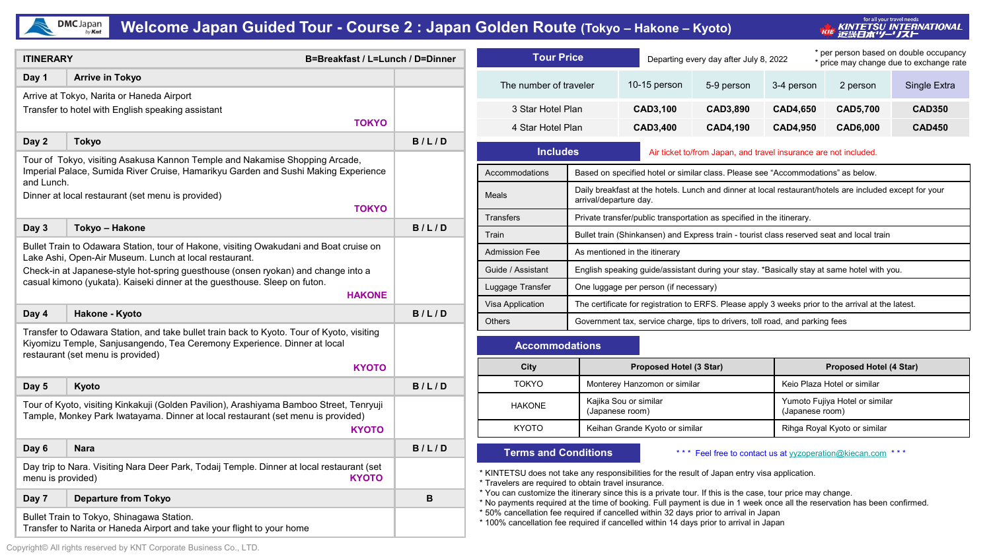

## **Welcome Japan Guided Tour - Course 2 : Japan Golden Route (Tokyo – Hakone – Kyoto)**

for all your travel needs<br>KINTETSU INTERNATIONAL<br>『近畿日本'ソー' Jスト TUE

| <b>ITINERARY</b><br>B=Breakfast / L=Lunch / D=Dinner                                                                                                                                                                     |                                                                                                                                                                                                            |       | <b>Tour Price</b>                                                                                                                                                                                                                                                                                            |                                                                                                                                   | Departing every day after July 8, 2022                                                    |                 |                                                   | * per person based on double occupancy<br>* price may change due to exchange rate |               |  |
|--------------------------------------------------------------------------------------------------------------------------------------------------------------------------------------------------------------------------|------------------------------------------------------------------------------------------------------------------------------------------------------------------------------------------------------------|-------|--------------------------------------------------------------------------------------------------------------------------------------------------------------------------------------------------------------------------------------------------------------------------------------------------------------|-----------------------------------------------------------------------------------------------------------------------------------|-------------------------------------------------------------------------------------------|-----------------|---------------------------------------------------|-----------------------------------------------------------------------------------|---------------|--|
| Day 1                                                                                                                                                                                                                    | <b>Arrive in Tokyo</b>                                                                                                                                                                                     |       | The number of traveler                                                                                                                                                                                                                                                                                       |                                                                                                                                   | 10-15 person                                                                              | 5-9 person      | 3-4 person                                        | 2 person                                                                          | Single Extra  |  |
|                                                                                                                                                                                                                          | Arrive at Tokyo, Narita or Haneda Airport                                                                                                                                                                  |       |                                                                                                                                                                                                                                                                                                              |                                                                                                                                   |                                                                                           |                 |                                                   |                                                                                   |               |  |
|                                                                                                                                                                                                                          | Transfer to hotel with English speaking assistant                                                                                                                                                          |       | 3 Star Hotel Plan                                                                                                                                                                                                                                                                                            |                                                                                                                                   | <b>CAD3,100</b>                                                                           | CAD3,890        | <b>CAD4,650</b>                                   | <b>CAD5,700</b>                                                                   | <b>CAD350</b> |  |
|                                                                                                                                                                                                                          | <b>TOKYO</b>                                                                                                                                                                                               |       | 4 Star Hotel Plan                                                                                                                                                                                                                                                                                            |                                                                                                                                   | <b>CAD3,400</b>                                                                           | <b>CAD4,190</b> | <b>CAD4,950</b>                                   | <b>CAD6,000</b>                                                                   | <b>CAD450</b> |  |
| Day 2                                                                                                                                                                                                                    | Tokyo                                                                                                                                                                                                      | B/L/D |                                                                                                                                                                                                                                                                                                              | <b>Includes</b><br>Air ticket to/from Japan, and travel insurance are not included.                                               |                                                                                           |                 |                                                   |                                                                                   |               |  |
|                                                                                                                                                                                                                          | Tour of Tokyo, visiting Asakusa Kannon Temple and Nakamise Shopping Arcade,<br>Imperial Palace, Sumida River Cruise, Hamarikyu Garden and Sushi Making Experience                                          |       | Accommodations                                                                                                                                                                                                                                                                                               | Based on specified hotel or similar class. Please see "Accommodations" as below.                                                  |                                                                                           |                 |                                                   |                                                                                   |               |  |
| and Lunch.                                                                                                                                                                                                               | Dinner at local restaurant (set menu is provided)                                                                                                                                                          |       | Meals                                                                                                                                                                                                                                                                                                        | Daily breakfast at the hotels. Lunch and dinner at local restaurant/hotels are included except for your<br>arrival/departure day. |                                                                                           |                 |                                                   |                                                                                   |               |  |
|                                                                                                                                                                                                                          | <b>TOKYO</b>                                                                                                                                                                                               |       | <b>Transfers</b>                                                                                                                                                                                                                                                                                             |                                                                                                                                   | Private transfer/public transportation as specified in the itinerary.                     |                 |                                                   |                                                                                   |               |  |
| Day 3                                                                                                                                                                                                                    | Tokyo - Hakone                                                                                                                                                                                             | B/L/D | Train                                                                                                                                                                                                                                                                                                        |                                                                                                                                   | Bullet train (Shinkansen) and Express train - tourist class reserved seat and local train |                 |                                                   |                                                                                   |               |  |
|                                                                                                                                                                                                                          | Bullet Train to Odawara Station, tour of Hakone, visiting Owakudani and Boat cruise on                                                                                                                     |       | <b>Admission Fee</b>                                                                                                                                                                                                                                                                                         | As mentioned in the itinerary                                                                                                     |                                                                                           |                 |                                                   |                                                                                   |               |  |
| Lake Ashi, Open-Air Museum. Lunch at local restaurant.<br>Check-in at Japanese-style hot-spring guesthouse (onsen ryokan) and change into a<br>casual kimono (yukata). Kaiseki dinner at the questhouse. Sleep on futon. |                                                                                                                                                                                                            |       | Guide / Assistant                                                                                                                                                                                                                                                                                            | English speaking guide/assistant during your stay. *Basically stay at same hotel with you.                                        |                                                                                           |                 |                                                   |                                                                                   |               |  |
|                                                                                                                                                                                                                          |                                                                                                                                                                                                            |       | Luggage Transfer                                                                                                                                                                                                                                                                                             | One luggage per person (if necessary)                                                                                             |                                                                                           |                 |                                                   |                                                                                   |               |  |
|                                                                                                                                                                                                                          | <b>HAKONE</b>                                                                                                                                                                                              |       | Visa Application<br>The certificate for registration to ERFS. Please apply 3 weeks prior to the arrival at the latest.                                                                                                                                                                                       |                                                                                                                                   |                                                                                           |                 |                                                   |                                                                                   |               |  |
| Day 4                                                                                                                                                                                                                    | Hakone - Kyoto                                                                                                                                                                                             | B/L/D | <b>Others</b>                                                                                                                                                                                                                                                                                                | Government tax, service charge, tips to drivers, toll road, and parking fees                                                      |                                                                                           |                 |                                                   |                                                                                   |               |  |
|                                                                                                                                                                                                                          | Transfer to Odawara Station, and take bullet train back to Kyoto. Tour of Kyoto, visiting<br>Kiyomizu Temple, Sanjusangendo, Tea Ceremony Experience. Dinner at local<br>restaurant (set menu is provided) |       |                                                                                                                                                                                                                                                                                                              | <b>Accommodations</b>                                                                                                             |                                                                                           |                 |                                                   |                                                                                   |               |  |
|                                                                                                                                                                                                                          | <b>KYOTO</b>                                                                                                                                                                                               |       | City                                                                                                                                                                                                                                                                                                         |                                                                                                                                   | Proposed Hotel (3 Star)                                                                   |                 | <b>Proposed Hotel (4 Star)</b>                    |                                                                                   |               |  |
| Day 5                                                                                                                                                                                                                    | Kyoto                                                                                                                                                                                                      | B/L/D | <b>TOKYO</b>                                                                                                                                                                                                                                                                                                 |                                                                                                                                   | Monterey Hanzomon or similar                                                              |                 |                                                   | Keio Plaza Hotel or similar                                                       |               |  |
|                                                                                                                                                                                                                          | Tour of Kyoto, visiting Kinkakuji (Golden Pavilion), Arashiyama Bamboo Street, Tenryuji<br>Tample, Monkey Park Iwatayama. Dinner at local restaurant (set menu is provided)                                |       | <b>HAKONE</b>                                                                                                                                                                                                                                                                                                |                                                                                                                                   | Kajika Sou or similar<br>(Japanese room)                                                  |                 | Yumoto Fujiya Hotel or similar<br>(Japanese room) |                                                                                   |               |  |
| <b>KYOTO</b>                                                                                                                                                                                                             |                                                                                                                                                                                                            |       | <b>KYOTO</b>                                                                                                                                                                                                                                                                                                 | Keihan Grande Kyoto or similar                                                                                                    |                                                                                           |                 | Rihga Royal Kyoto or similar                      |                                                                                   |               |  |
| Day 6                                                                                                                                                                                                                    | <b>Nara</b>                                                                                                                                                                                                | B/L/D | <b>Terms and Conditions</b><br>*** Feel free to contact us at yyzoperation@kiecan.com ***                                                                                                                                                                                                                    |                                                                                                                                   |                                                                                           |                 |                                                   |                                                                                   |               |  |
| Day trip to Nara. Visiting Nara Deer Park, Todaij Temple. Dinner at local restaurant (set<br><b>KYOTO</b><br>menu is provided)                                                                                           |                                                                                                                                                                                                            |       | * KINTETSU does not take any responsibilities for the result of Japan entry visa application.<br>* Travelers are required to obtain travel insurance.                                                                                                                                                        |                                                                                                                                   |                                                                                           |                 |                                                   |                                                                                   |               |  |
| Day 7                                                                                                                                                                                                                    | <b>Departure from Tokyo</b>                                                                                                                                                                                | B     | * You can customize the itinerary since this is a private tour. If this is the case, tour price may change.                                                                                                                                                                                                  |                                                                                                                                   |                                                                                           |                 |                                                   |                                                                                   |               |  |
| Bullet Train to Tokyo, Shinagawa Station.<br>Transfer to Narita or Haneda Airport and take your flight to your home                                                                                                      |                                                                                                                                                                                                            |       | * No payments required at the time of booking. Full payment is due in 1 week once all the reservation has been confirmed.<br>* 50% cancellation fee required if cancelled within 32 days prior to arrival in Japan<br>* 100% cancellation fee required if cancelled within 14 days prior to arrival in Japan |                                                                                                                                   |                                                                                           |                 |                                                   |                                                                                   |               |  |

Copyright© All rights reserved by KNT Corporate Business Co., LTD.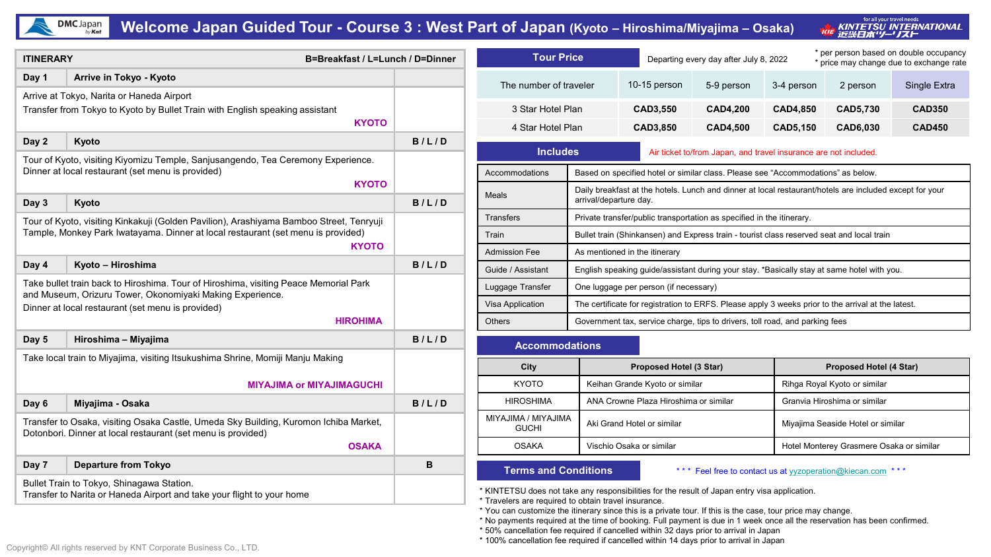

## **Welcome Japan Guided Tour - Course 3 : West Part of Japan (Kyoto – Hiroshima/Miyajima – Osaka)**

for all your travel needs , KINTETSU INTERNATIONAL<br>' 近畿**日本''/-' /スト** THE

| <b>ITINERARY</b>                                                                                                                                                     | B=Breakfast / L=Lunch / D=Dinner                                                                                                      |              | <b>Tour Price</b>                                                                                                                                                                                                                                                    |                                                                                                         | * per person based on double occupancy<br>Departing every day after July 8, 2022<br>* price may change due to exchange rate |                                                                                  |                              |                                          |               |  |  |
|----------------------------------------------------------------------------------------------------------------------------------------------------------------------|---------------------------------------------------------------------------------------------------------------------------------------|--------------|----------------------------------------------------------------------------------------------------------------------------------------------------------------------------------------------------------------------------------------------------------------------|---------------------------------------------------------------------------------------------------------|-----------------------------------------------------------------------------------------------------------------------------|----------------------------------------------------------------------------------|------------------------------|------------------------------------------|---------------|--|--|
| Day 1                                                                                                                                                                | Arrive in Tokyo - Kyoto                                                                                                               |              | The number of traveler                                                                                                                                                                                                                                               |                                                                                                         | 10-15 person                                                                                                                | 5-9 person                                                                       | 3-4 person                   | 2 person                                 | Single Extra  |  |  |
| Arrive at Tokyo, Narita or Haneda Airport<br>Transfer from Tokyo to Kyoto by Bullet Train with English speaking assistant<br><b>KYOTO</b>                            |                                                                                                                                       |              |                                                                                                                                                                                                                                                                      |                                                                                                         |                                                                                                                             |                                                                                  |                              |                                          |               |  |  |
|                                                                                                                                                                      |                                                                                                                                       |              | 3 Star Hotel Plan                                                                                                                                                                                                                                                    |                                                                                                         | <b>CAD3,550</b>                                                                                                             | <b>CAD4,200</b><br><b>CAD4,500</b>                                               | <b>CAD4,850</b>              | <b>CAD5,730</b>                          | <b>CAD350</b> |  |  |
|                                                                                                                                                                      |                                                                                                                                       |              |                                                                                                                                                                                                                                                                      | 4 Star Hotel Plan<br><b>CAD3,850</b>                                                                    |                                                                                                                             |                                                                                  | <b>CAD5,150</b>              | CAD6,030                                 | <b>CAD450</b> |  |  |
| Day 2                                                                                                                                                                | Kyoto                                                                                                                                 | B/L/D        |                                                                                                                                                                                                                                                                      | <b>Includes</b><br>Air ticket to/from Japan, and travel insurance are not included.                     |                                                                                                                             |                                                                                  |                              |                                          |               |  |  |
|                                                                                                                                                                      | Tour of Kyoto, visiting Kiyomizu Temple, Sanjusangendo, Tea Ceremony Experience.<br>Dinner at local restaurant (set menu is provided) |              | <b>Accommodations</b>                                                                                                                                                                                                                                                |                                                                                                         |                                                                                                                             | Based on specified hotel or similar class. Please see "Accommodations" as below. |                              |                                          |               |  |  |
|                                                                                                                                                                      | <b>KYOTO</b>                                                                                                                          |              | <b>Meals</b>                                                                                                                                                                                                                                                         | Daily breakfast at the hotels. Lunch and dinner at local restaurant/hotels are included except for your |                                                                                                                             |                                                                                  |                              |                                          |               |  |  |
| Day 3                                                                                                                                                                | Kyoto                                                                                                                                 | B/L/D        |                                                                                                                                                                                                                                                                      | arrival/departure day.                                                                                  |                                                                                                                             |                                                                                  |                              |                                          |               |  |  |
|                                                                                                                                                                      | Tour of Kyoto, visiting Kinkakuji (Golden Pavilion), Arashiyama Bamboo Street, Tenryuji                                               |              | <b>Transfers</b>                                                                                                                                                                                                                                                     | Private transfer/public transportation as specified in the itinerary.                                   |                                                                                                                             |                                                                                  |                              |                                          |               |  |  |
|                                                                                                                                                                      | Tample, Monkey Park Iwatayama. Dinner at local restaurant (set menu is provided)                                                      |              | Train                                                                                                                                                                                                                                                                |                                                                                                         | Bullet train (Shinkansen) and Express train - tourist class reserved seat and local train                                   |                                                                                  |                              |                                          |               |  |  |
|                                                                                                                                                                      | <b>KYOTO</b>                                                                                                                          |              | <b>Admission Fee</b>                                                                                                                                                                                                                                                 | As mentioned in the itinerary                                                                           |                                                                                                                             |                                                                                  |                              |                                          |               |  |  |
| Day 4                                                                                                                                                                | Kyoto - Hiroshima                                                                                                                     | B/L/D        | Guide / Assistant                                                                                                                                                                                                                                                    | English speaking guide/assistant during your stay. *Basically stay at same hotel with you.              |                                                                                                                             |                                                                                  |                              |                                          |               |  |  |
| Take bullet train back to Hiroshima. Tour of Hiroshima, visiting Peace Memorial Park<br>and Museum, Orizuru Tower, Okonomiyaki Making Experience.                    |                                                                                                                                       |              | Luggage Transfer                                                                                                                                                                                                                                                     | One luggage per person (if necessary)                                                                   |                                                                                                                             |                                                                                  |                              |                                          |               |  |  |
|                                                                                                                                                                      | Dinner at local restaurant (set menu is provided)                                                                                     |              | Visa Application                                                                                                                                                                                                                                                     | The certificate for registration to ERFS. Please apply 3 weeks prior to the arrival at the latest.      |                                                                                                                             |                                                                                  |                              |                                          |               |  |  |
|                                                                                                                                                                      | <b>HIROHIMA</b>                                                                                                                       |              | Others                                                                                                                                                                                                                                                               | Government tax, service charge, tips to drivers, toll road, and parking fees                            |                                                                                                                             |                                                                                  |                              |                                          |               |  |  |
| Day 5                                                                                                                                                                | Hiroshima - Miyajima                                                                                                                  | B/L/D        | <b>Accommodations</b>                                                                                                                                                                                                                                                |                                                                                                         |                                                                                                                             |                                                                                  |                              |                                          |               |  |  |
|                                                                                                                                                                      | Take local train to Miyajima, visiting Itsukushima Shrine, Momiji Manju Making                                                        |              | City                                                                                                                                                                                                                                                                 |                                                                                                         | Proposed Hotel (3 Star)                                                                                                     |                                                                                  |                              | <b>Proposed Hotel (4 Star)</b>           |               |  |  |
|                                                                                                                                                                      | <b>MIYAJIMA or MIYAJIMAGUCHI</b>                                                                                                      |              | <b>KYOTO</b>                                                                                                                                                                                                                                                         | Keihan Grande Kyoto or similar                                                                          |                                                                                                                             |                                                                                  | Rihga Royal Kyoto or similar |                                          |               |  |  |
| Day 6                                                                                                                                                                | Miyajima - Osaka                                                                                                                      | B/L/D        | <b>HIROSHIMA</b>                                                                                                                                                                                                                                                     |                                                                                                         | ANA Crowne Plaza Hiroshima or similar                                                                                       |                                                                                  |                              | Granvia Hiroshima or similar             |               |  |  |
| Transfer to Osaka, visiting Osaka Castle, Umeda Sky Building, Kuromon Ichiba Market,<br>Dotonbori. Dinner at local restaurant (set menu is provided)<br><b>OSAKA</b> |                                                                                                                                       |              | MIYAJIMA / MIYAJIMA<br><b>GUCHI</b>                                                                                                                                                                                                                                  |                                                                                                         | Aki Grand Hotel or similar                                                                                                  |                                                                                  |                              | Miyajima Seaside Hotel or similar        |               |  |  |
|                                                                                                                                                                      |                                                                                                                                       |              | <b>OSAKA</b>                                                                                                                                                                                                                                                         |                                                                                                         | Vischio Osaka or similar                                                                                                    |                                                                                  |                              | Hotel Monterey Grasmere Osaka or similar |               |  |  |
| Day 7                                                                                                                                                                | <b>Departure from Tokyo</b>                                                                                                           | $\, {\bf B}$ | <b>Terms and Conditions</b>                                                                                                                                                                                                                                          |                                                                                                         |                                                                                                                             | *** Feel free to contact us at yyzoperation@kiecan.com ***                       |                              |                                          |               |  |  |
| Bullet Train to Tokyo, Shinagawa Station.<br>Transfer to Narita or Haneda Airport and take your flight to your home                                                  |                                                                                                                                       |              | * KINTETSU does not take any responsibilities for the result of Japan entry visa application.<br>* Travelers are required to obtain travel insurance.<br>* You can customize the itinerary since this is a private tour. If this is the case, tour price may change. |                                                                                                         |                                                                                                                             |                                                                                  |                              |                                          |               |  |  |

\* No payments required at the time of booking. Full payment is due in 1 week once all the reservation has been confirmed.

\* 50% cancellation fee required if cancelled within 32 days prior to arrival in Japan

\* 100% cancellation fee required if cancelled within 14 days prior to arrival in Japan